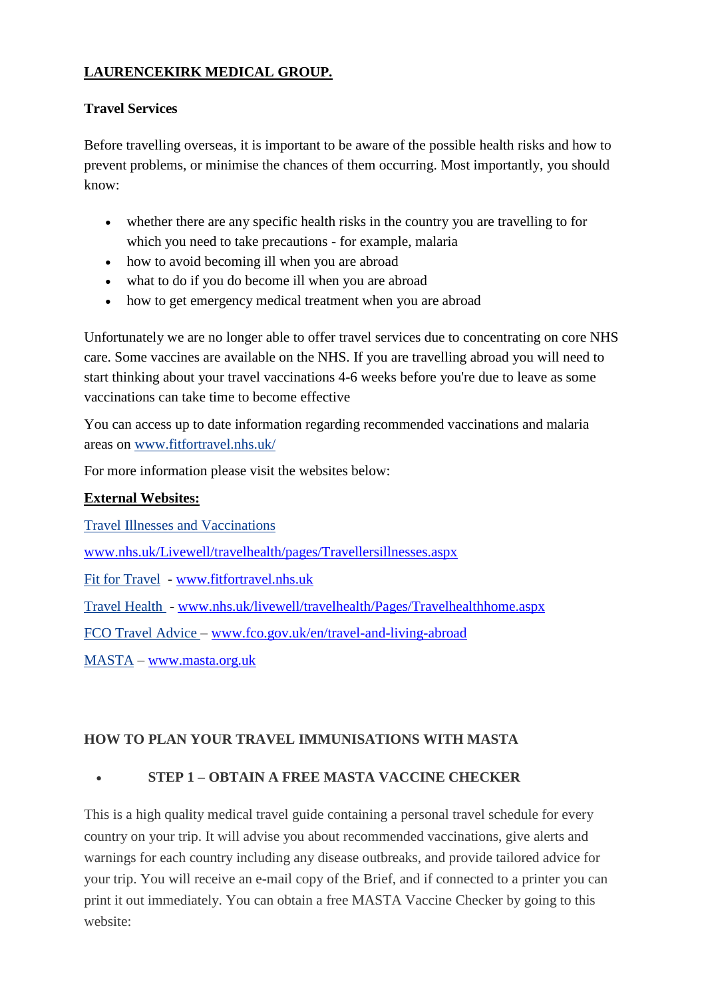# **LAURENCEKIRK MEDICAL GROUP.**

### **Travel Services**

Before travelling overseas, it is important to be aware of the possible health risks and how to prevent problems, or minimise the chances of them occurring. Most importantly, you should know:

- whether there are any specific health risks in the country you are travelling to for which you need to take precautions - for example, malaria
- how to avoid becoming ill when you are abroad
- what to do if you do become ill when you are abroad
- how to get emergency medical treatment when you are abroad

Unfortunately we are no longer able to offer travel services due to concentrating on core NHS care. Some vaccines are available on the NHS. If you are travelling abroad you will need to start thinking about your travel vaccinations 4-6 weeks before you're due to leave as some vaccinations can take time to become effective

You can access up to date information regarding recommended vaccinations and malaria areas on [www.fitfortravel.nhs.uk/](http://www.fitfortravel.nhs.uk/)

For more information please visit the websites below:

### **External Websites:**

[Travel Illnesses and Vaccinations](http://www.nhs.uk/Livewell/travelhealth/Pages/Travellersillnesses.aspx) [www.nhs.uk/Livewell/travelhealth/pages/Travellersillnesses.aspx](http://www.nhs.uk/Livewell/travelhealth/pages/Travellersillnesses.aspx) [Fit for Travel](http://www.fitfortravel.nhs.uk/) - [www.fitfortravel.nhs.uk](http://www.fitfortravel.nhs.uk/) [Travel Health](http://www.nhs.uk/livewell/travelhealth/Pages/Travelhealthhome.aspx) - [www.nhs.uk/livewell/travelhealth/Pages/Travelhealthhome.aspx](http://www.nhs.uk/livewell/travelhealth/Pages/Travelhealthhome.aspx) [FCO Travel Advice –](http://www.fco.gov.uk/en/travel-and-living-abroad) [www.fco.gov.uk/en/travel-and-living-abroad](http://www.fco.gov.uk/en/travel-and-living-abroad) [MASTA](http://www.masta.org/) – [www.masta.org.uk](http://www.masta.org.uk/)

### **HOW TO PLAN YOUR TRAVEL IMMUNISATIONS WITH MASTA**

## **STEP 1 – OBTAIN A FREE MASTA VACCINE CHECKER**

This is a high quality medical travel guide containing a personal travel schedule for every country on your trip. It will advise you about recommended vaccinations, give alerts and warnings for each country including any disease outbreaks, and provide tailored advice for your trip. You will receive an e-mail copy of the Brief, and if connected to a printer you can print it out immediately. You can obtain a free MASTA Vaccine Checker by going to this website: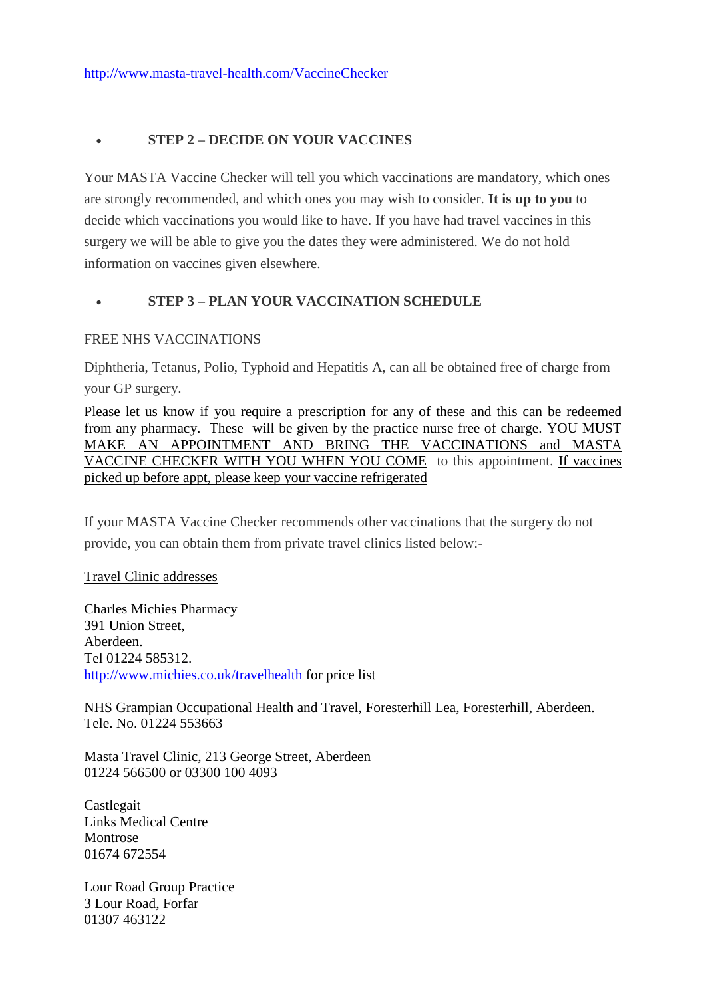#### **STEP 2 – DECIDE ON YOUR VACCINES**

Your MASTA Vaccine Checker will tell you which vaccinations are mandatory, which ones are strongly recommended, and which ones you may wish to consider. **It is up to you** to decide which vaccinations you would like to have. If you have had travel vaccines in this surgery we will be able to give you the dates they were administered. We do not hold information on vaccines given elsewhere.

### **STEP 3 – PLAN YOUR VACCINATION SCHEDULE**

#### FREE NHS VACCINATIONS

Diphtheria, Tetanus, Polio, Typhoid and Hepatitis A, can all be obtained free of charge from your GP surgery.

Please let us know if you require a prescription for any of these and this can be redeemed from any pharmacy. These will be given by the practice nurse free of charge. YOU MUST MAKE AN APPOINTMENT AND BRING THE VACCINATIONS and MASTA VACCINE CHECKER WITH YOU WHEN YOU COME to this appointment. If vaccines picked up before appt, please keep your vaccine refrigerated

If your MASTA Vaccine Checker recommends other vaccinations that the surgery do not provide, you can obtain them from private travel clinics listed below:-

Travel Clinic addresses

Charles Michies Pharmacy 391 Union Street, Aberdeen. Tel 01224 585312. <http://www.michies.co.uk/travelhealth> for price list

NHS Grampian Occupational Health and Travel, Foresterhill Lea, Foresterhill, Aberdeen. Tele. No. 01224 553663

Masta Travel Clinic, 213 George Street, Aberdeen 01224 566500 or 03300 100 4093

Castlegait Links Medical Centre **Montrose** 01674 672554

Lour Road Group Practice 3 Lour Road, Forfar 01307 463122